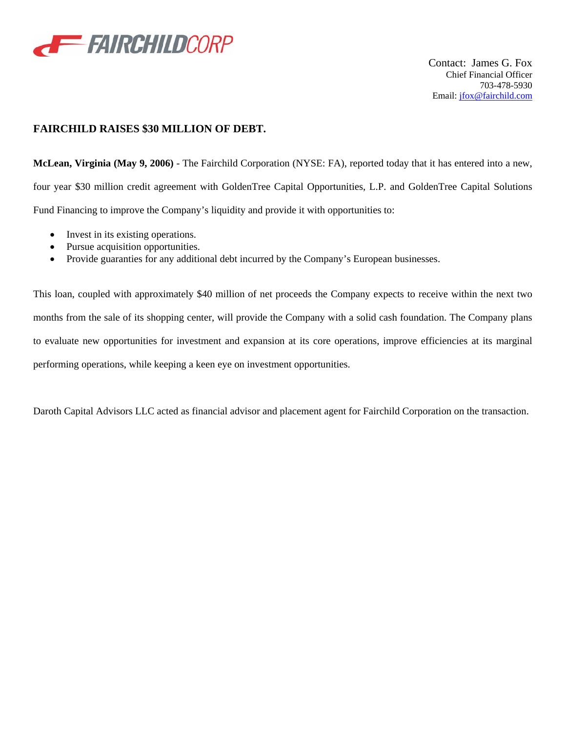

Contact: James G. Fox Chief Financial Officer 703-478-5930 Email: jfox@fairchild.com

## **FAIRCHILD RAISES \$30 MILLION OF DEBT.**

**McLean, Virginia (May 9, 2006)** - The Fairchild Corporation (NYSE: FA), reported today that it has entered into a new, four year \$30 million credit agreement with GoldenTree Capital Opportunities, L.P. and GoldenTree Capital Solutions Fund Financing to improve the Company's liquidity and provide it with opportunities to:

- Invest in its existing operations.
- Pursue acquisition opportunities.
- Provide guaranties for any additional debt incurred by the Company's European businesses.

This loan, coupled with approximately \$40 million of net proceeds the Company expects to receive within the next two months from the sale of its shopping center, will provide the Company with a solid cash foundation. The Company plans to evaluate new opportunities for investment and expansion at its core operations, improve efficiencies at its marginal performing operations, while keeping a keen eye on investment opportunities.

Daroth Capital Advisors LLC acted as financial advisor and placement agent for Fairchild Corporation on the transaction.